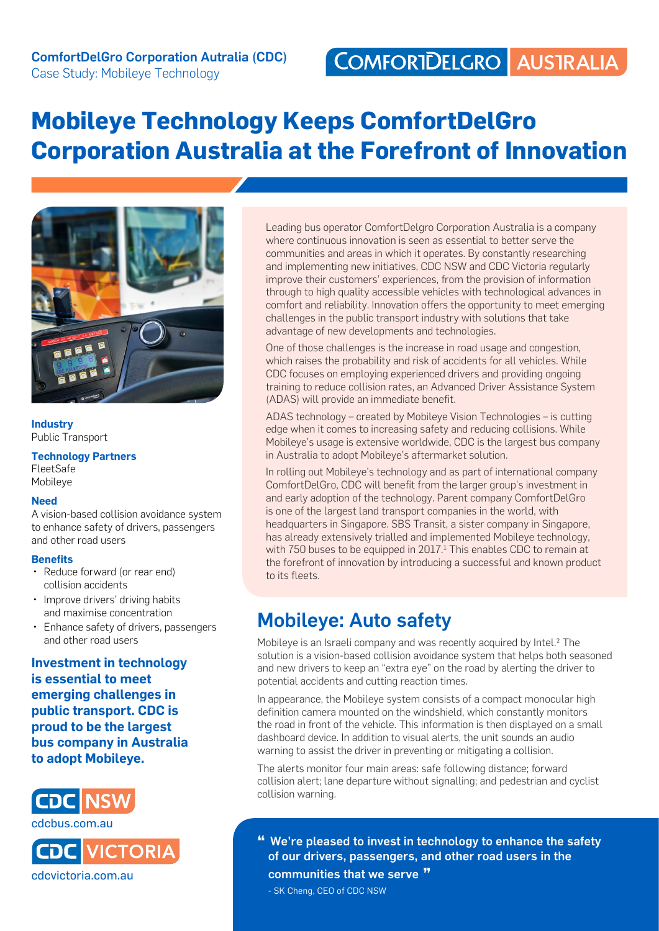# **Mobileye Technology Keeps ComfortDelGro Corporation Australia at the Forefront of Innovation**



**Industry** Public Transport

### **Technology Partners**

FleetSafe Mobileye

#### **Need**

A vision-based collision avoidance system to enhance safety of drivers, passengers and other road users

#### **Benefits**

- Reduce forward (or rear end) collision accidents
- Improve drivers' driving habits and maximise concentration
- • Enhance safety of drivers, passengers and other road users

**Investment in technology is essential to meet emerging challenges in public transport. CDC is proud to be the largest bus company in Australia to adopt Mobileye.**



**VICTORIA** cdcvictoria.com.au

Leading bus operator ComfortDelgro Corporation Australia is a company where continuous innovation is seen as essential to better serve the communities and areas in which it operates. By constantly researching and implementing new initiatives, CDC NSW and CDC Victoria regularly improve their customers' experiences, from the provision of information through to high quality accessible vehicles with technological advances in comfort and reliability. Innovation offers the opportunity to meet emerging challenges in the public transport industry with solutions that take advantage of new developments and technologies.

One of those challenges is the increase in road usage and congestion, which raises the probability and risk of accidents for all vehicles. While CDC focuses on employing experienced drivers and providing ongoing training to reduce collision rates, an Advanced Driver Assistance System (ADAS) will provide an immediate benefit.

ADAS technology – created by Mobileye Vision Technologies – is cutting edge when it comes to increasing safety and reducing collisions. While Mobileye's usage is extensive worldwide, CDC is the largest bus company in Australia to adopt Mobileye's aftermarket solution.

In rolling out Mobileye's technology and as part of international company ComfortDelGro, CDC will benefit from the larger group's investment in and early adoption of the technology. Parent company ComfortDelGro is one of the largest land transport companies in the world, with headquarters in Singapore. SBS Transit, a sister company in Singapore, has already extensively trialled and implemented Mobileye technology, with 750 buses to be equipped in 2017.<sup>1</sup> This enables CDC to remain at the forefront of innovation by introducing a successful and known product to its fleets.

### Mobileye: Auto safety

Mobileye is an Israeli company and was recently acquired by Intel.<sup>2</sup> The solution is a vision-based collision avoidance system that helps both seasoned and new drivers to keep an "extra eye" on the road by alerting the driver to potential accidents and cutting reaction times.

In appearance, the Mobileye system consists of a compact monocular high definition camera mounted on the windshield, which constantly monitors the road in front of the vehicle. This information is then displayed on a small dashboard device. In addition to visual alerts, the unit sounds an audio warning to assist the driver in preventing or mitigating a collision.

The alerts monitor four main areas: safe following distance; forward collision alert; lane departure without signalling; and pedestrian and cyclist collision warning.

**"** We're pleased to invest in technology to enhance the safety of our drivers, passengers, and other road users in the communities that we serve **"**

- SK Cheng, CEO of CDC NSW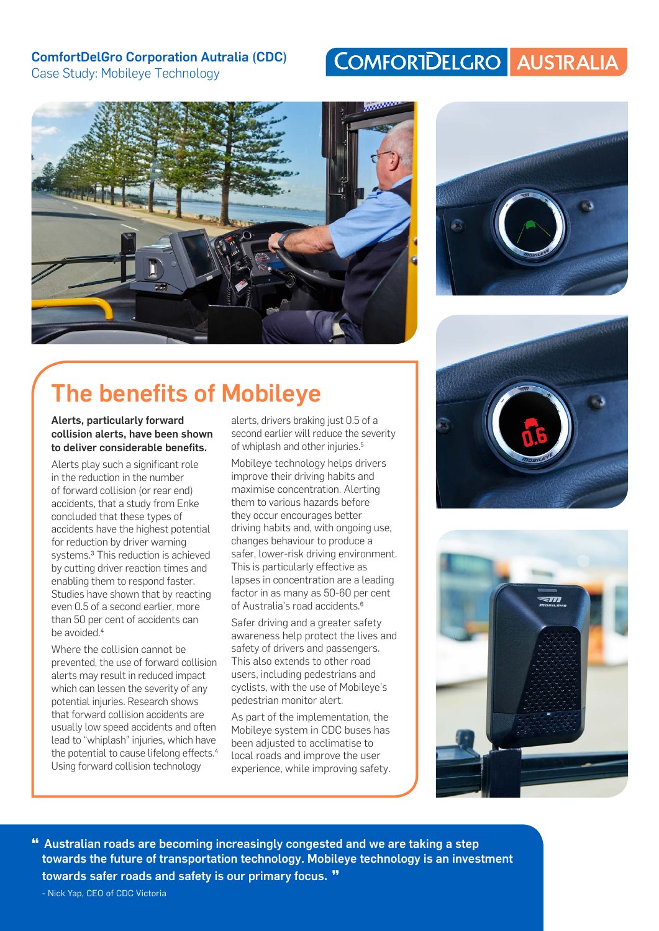### ComfortDelGro Corporation Autralia (CDC)

Case Study: Mobileye Technology

### COMFORTDELGRO AUSTRALIA





# The benefits of Mobileye

Alerts, particularly forward collision alerts, have been shown to deliver considerable benefits.

Alerts play such a significant role in the reduction in the number of forward collision (or rear end) accidents, that a study from Enke concluded that these types of accidents have the highest potential for reduction by driver warning systems.3 This reduction is achieved by cutting driver reaction times and enabling them to respond faster. Studies have shown that by reacting even 0.5 of a second earlier, more than 50 per cent of accidents can be avoided.<sup>4</sup>

Where the collision cannot be prevented, the use of forward collision alerts may result in reduced impact which can lessen the severity of any potential injuries. Research shows that forward collision accidents are usually low speed accidents and often lead to "whiplash" injuries, which have the potential to cause lifelong effects.<sup>4</sup> Using forward collision technology

alerts, drivers braking just 0.5 of a second earlier will reduce the severity of whiplash and other injuries.5

Mobileye technology helps drivers improve their driving habits and maximise concentration. Alerting them to various hazards before they occur encourages better driving habits and, with ongoing use, changes behaviour to produce a safer, lower-risk driving environment. This is particularly effective as lapses in concentration are a leading factor in as many as 50-60 per cent of Australia's road accidents.6

Safer driving and a greater safety awareness help protect the lives and safety of drivers and passengers. This also extends to other road users, including pedestrians and cyclists, with the use of Mobileye's pedestrian monitor alert.

As part of the implementation, the Mobileye system in CDC buses has been adjusted to acclimatise to local roads and improve the user experience, while improving safety.





**"** Australian roads are becoming increasingly congested and we are taking a step towards the future of transportation technology. Mobileye technology is an investment towards safer roads and safety is our primary focus. **"**

- Nick Yap, CEO of CDC Victoria